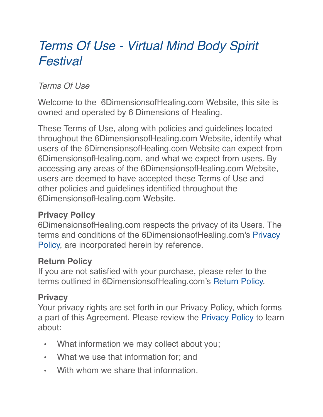# *Terms Of Use - Virtual Mind Body Spirit Festival*

# *Terms Of Use*

Welcome to the 6DimensionsofHealing.com Website, this site is owned and operated by 6 Dimensions of Healing.

These Terms of Use, along with policies and guidelines located throughout the 6DimensionsofHealing.com Website, identify what users of the 6DimensionsofHealing.com Website can expect from 6DimensionsofHealing.com, and what we expect from users. By accessing any areas of the 6DimensionsofHealing.com Website, users are deemed to have accepted these Terms of Use and other policies and guidelines identified throughout the 6DimensionsofHealing.com Website.

# **Privacy Policy**

6DimensionsofHealing.com respects the privacy of its Users. The terms and conditions of the 6DimensionsofHealing.com's [Privacy](https://www.hayhouse.com/privacy-policy/)  [Policy,](https://www.hayhouse.com/privacy-policy/) are incorporated herein by reference.

#### **Return Policy**

If you are not satisfied with your purchase, please refer to the terms outlined in 6DimensionsofHealing.com's [Return Policy.](https://www.hayhouse.com/returns/)

# **Privacy**

Your privacy rights are set forth in our Privacy Policy, which forms a part of this Agreement. Please review the [Privacy Policy](https://www.hayhouse.com/privacy-policy) to learn about:

- What information we may collect about you;
- What we use that information for; and
- With whom we share that information.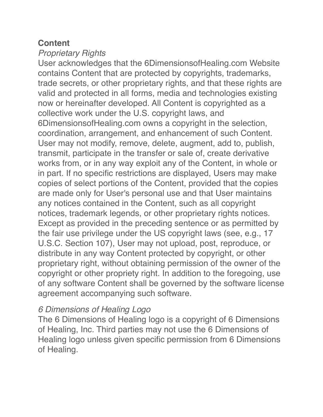#### **Content**

#### *Proprietary Rights*

User acknowledges that the 6DimensionsofHealing.com Website contains Content that are protected by copyrights, trademarks, trade secrets, or other proprietary rights, and that these rights are valid and protected in all forms, media and technologies existing now or hereinafter developed. All Content is copyrighted as a collective work under the U.S. copyright laws, and 6DimensionsofHealing.com owns a copyright in the selection, coordination, arrangement, and enhancement of such Content. User may not modify, remove, delete, augment, add to, publish, transmit, participate in the transfer or sale of, create derivative works from, or in any way exploit any of the Content, in whole or in part. If no specific restrictions are displayed, Users may make copies of select portions of the Content, provided that the copies are made only for User's personal use and that User maintains any notices contained in the Content, such as all copyright notices, trademark legends, or other proprietary rights notices. Except as provided in the preceding sentence or as permitted by the fair use privilege under the US copyright laws (see, e.g., 17 U.S.C. Section 107), User may not upload, post, reproduce, or distribute in any way Content protected by copyright, or other proprietary right, without obtaining permission of the owner of the copyright or other propriety right. In addition to the foregoing, use of any software Content shall be governed by the software license agreement accompanying such software.

# *6 Dimensions of Healing Logo*

The 6 Dimensions of Healing logo is a copyright of 6 Dimensions of Healing, Inc. Third parties may not use the 6 Dimensions of Healing logo unless given specific permission from 6 Dimensions of Healing.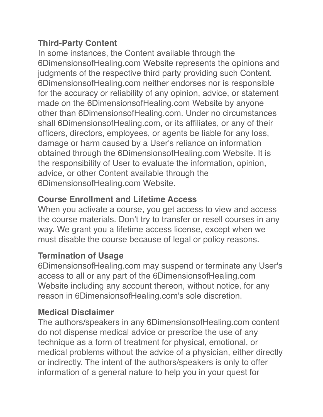# **Third-Party Content**

In some instances, the Content available through the 6DimensionsofHealing.com Website represents the opinions and judgments of the respective third party providing such Content. 6DimensionsofHealing.com neither endorses nor is responsible for the accuracy or reliability of any opinion, advice, or statement made on the 6Dimensions of Healing.com Website by anyone other than 6DimensionsofHealing.com. Under no circumstances shall 6DimensionsofHealing.com, or its affiliates, or any of their officers, directors, employees, or agents be liable for any loss, damage or harm caused by a User's reliance on information obtained through the 6DimensionsofHealing.com Website. It is the responsibility of User to evaluate the information, opinion, advice, or other Content available through the 6DimensionsofHealing.com Website.

# **Course Enrollment and Lifetime Access**

When you activate a course, you get access to view and access the course materials. Don't try to transfer or resell courses in any way. We grant you a lifetime access license, except when we must disable the course because of legal or policy reasons.

# **Termination of Usage**

6DimensionsofHealing.com may suspend or terminate any User's access to all or any part of the 6DimensionsofHealing.com Website including any account thereon, without notice, for any reason in 6DimensionsofHealing.com's sole discretion.

# **Medical Disclaimer**

The authors/speakers in any 6DimensionsofHealing.com content do not dispense medical advice or prescribe the use of any technique as a form of treatment for physical, emotional, or medical problems without the advice of a physician, either directly or indirectly. The intent of the authors/speakers is only to offer information of a general nature to help you in your quest for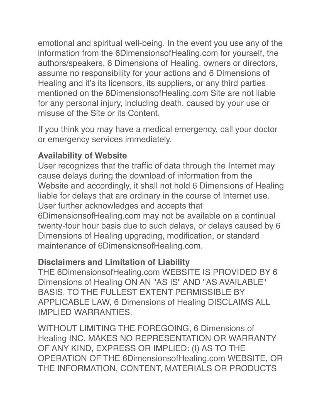emotional and spiritual well-being. In the event you use any of the information from the 6DimensionsofHealing.com for yourself, the authors/speakers, 6 Dimensions of Healing, owners or directors, assume no responsibility for your actions and 6 Dimensions of Healing and it's its licensors, its suppliers, or any third parties mentioned on the 6DimensionsofHealing.com Site are not liable for any personal injury, including death, caused by your use or misuse of the Site or its Content.

If you think you may have a medical emergency, call your doctor or emergency services immediately.

# **Availability of Website**

User recognizes that the traffic of data through the Internet may cause delays during the download of information from the Website and accordingly, it shall not hold 6 Dimensions of Healing liable for delays that are ordinary in the course of Internet use. User further acknowledges and accepts that 6DimensionsofHealing.com may not be available on a continual twenty-four hour basis due to such delays, or delays caused by 6 Dimensions of Healing upgrading, modification, or standard

maintenance of 6DimensionsofHealing.com.

# **Disclaimers and Limitation of Liability**

THE 6DimensionsofHealing.com WEBSITE IS PROVIDED BY 6 Dimensions of Healing ON AN "AS IS" AND "AS AVAILABLE" BASIS. TO THE FULLEST EXTENT PERMISSIBLE BY APPLICABLE LAW, 6 Dimensions of Healing DISCLAIMS ALL IMPLIED WARRANTIES.

WITHOUT LIMITING THE FOREGOING, 6 Dimensions of Healing INC. MAKES NO REPRESENTATION OR WARRANTY OF ANY KIND, EXPRESS OR IMPLIED: (I) AS TO THE OPERATION OF THE 6DimensionsofHealing.com WEBSITE, OR THE INFORMATION, CONTENT, MATERIALS OR PRODUCTS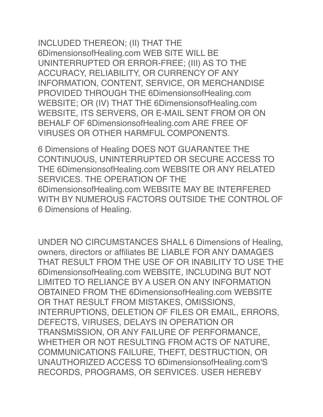INCLUDED THEREON; (II) THAT THE 6DimensionsofHealing.com WEB SITE WILL BE UNINTERRUPTED OR ERROR-FREE; (III) AS TO THE ACCURACY, RELIABILITY, OR CURRENCY OF ANY INFORMATION, CONTENT, SERVICE, OR MERCHANDISE PROVIDED THROUGH THE 6DimensionsofHealing.com WEBSITE; OR (IV) THAT THE 6DimensionsofHealing.com WEBSITE, ITS SERVERS, OR E-MAIL SENT FROM OR ON BEHALF OF 6DimensionsofHealing.com ARE FREE OF VIRUSES OR OTHER HARMFUL COMPONENTS.

6 Dimensions of Healing DOES NOT GUARANTEE THE CONTINUOUS, UNINTERRUPTED OR SECURE ACCESS TO THE 6DimensionsofHealing.com WEBSITE OR ANY RELATED SERVICES. THE OPERATION OF THE 6DimensionsofHealing.com WEBSITE MAY BE INTERFERED WITH BY NUMEROUS FACTORS OUTSIDE THE CONTROL OF 6 Dimensions of Healing.

UNDER NO CIRCUMSTANCES SHALL 6 Dimensions of Healing, owners, directors or affiliates BE LIABLE FOR ANY DAMAGES THAT RESULT FROM THE USE OF OR INABILITY TO USE THE 6DimensionsofHealing.com WEBSITE, INCLUDING BUT NOT LIMITED TO RELIANCE BY A USER ON ANY INFORMATION OBTAINED FROM THE 6DimensionsofHealing.com WEBSITE OR THAT RESULT FROM MISTAKES, OMISSIONS, INTERRUPTIONS, DELETION OF FILES OR EMAIL, ERRORS, DEFECTS, VIRUSES, DELAYS IN OPERATION OR TRANSMISSION, OR ANY FAILURE OF PERFORMANCE, WHETHER OR NOT RESULTING FROM ACTS OF NATURE, COMMUNICATIONS FAILURE, THEFT, DESTRUCTION, OR UNAUTHORIZED ACCESS TO 6DimensionsofHealing.com'S RECORDS, PROGRAMS, OR SERVICES. USER HEREBY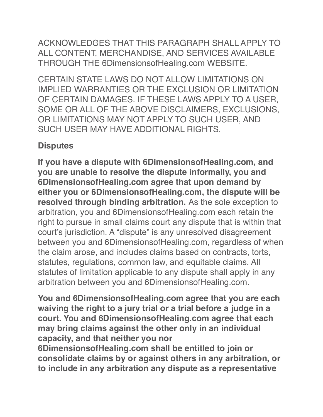ACKNOWLEDGES THAT THIS PARAGRAPH SHALL APPLY TO ALL CONTENT, MERCHANDISE, AND SERVICES AVAILABLE THROUGH THE 6DimensionsofHealing.com WEBSITE.

CERTAIN STATE LAWS DO NOT ALLOW LIMITATIONS ON IMPLIED WARRANTIES OR THE EXCLUSION OR LIMITATION OF CERTAIN DAMAGES. IF THESE LAWS APPLY TO A USER, SOME OR ALL OF THE ABOVE DISCLAIMERS, EXCLUSIONS, OR LIMITATIONS MAY NOT APPLY TO SUCH USER, AND SUCH USER MAY HAVE ADDITIONAL RIGHTS.

# **Disputes**

**If you have a dispute with 6DimensionsofHealing.com, and you are unable to resolve the dispute informally, you and 6DimensionsofHealing.com agree that upon demand by either you or 6DimensionsofHealing.com, the dispute will be resolved through binding arbitration.** As the sole exception to arbitration, you and 6DimensionsofHealing.com each retain the right to pursue in small claims court any dispute that is within that court's jurisdiction. A "dispute" is any unresolved disagreement between you and 6DimensionsofHealing.com, regardless of when the claim arose, and includes claims based on contracts, torts, statutes, regulations, common law, and equitable claims. All statutes of limitation applicable to any dispute shall apply in any arbitration between you and 6DimensionsofHealing.com.

**You and 6DimensionsofHealing.com agree that you are each waiving the right to a jury trial or a trial before a judge in a court. You and 6DimensionsofHealing.com agree that each may bring claims against the other only in an individual capacity, and that neither you nor 6DimensionsofHealing.com shall be entitled to join or consolidate claims by or against others in any arbitration, or to include in any arbitration any dispute as a representative**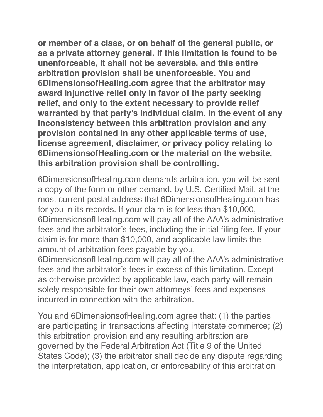**or member of a class, or on behalf of the general public, or as a private attorney general. If this limitation is found to be unenforceable, it shall not be severable, and this entire arbitration provision shall be unenforceable. You and 6DimensionsofHealing.com agree that the arbitrator may award injunctive relief only in favor of the party seeking relief, and only to the extent necessary to provide relief warranted by that party's individual claim. In the event of any inconsistency between this arbitration provision and any provision contained in any other applicable terms of use, license agreement, disclaimer, or privacy policy relating to 6DimensionsofHealing.com or the material on the website, this arbitration provision shall be controlling.**

6DimensionsofHealing.com demands arbitration, you will be sent a copy of the form or other demand, by U.S. Certified Mail, at the most current postal address that 6DimensionsofHealing.com has for you in its records. If your claim is for less than \$10,000, 6DimensionsofHealing.com will pay all of the AAA's administrative fees and the arbitrator's fees, including the initial filing fee. If your claim is for more than \$10,000, and applicable law limits the amount of arbitration fees payable by you,

6DimensionsofHealing.com will pay all of the AAA's administrative fees and the arbitrator's fees in excess of this limitation. Except as otherwise provided by applicable law, each party will remain solely responsible for their own attorneys' fees and expenses incurred in connection with the arbitration.

You and 6DimensionsofHealing.com agree that: (1) the parties are participating in transactions affecting interstate commerce; (2) this arbitration provision and any resulting arbitration are governed by the Federal Arbitration Act (Title 9 of the United States Code); (3) the arbitrator shall decide any dispute regarding the interpretation, application, or enforceability of this arbitration